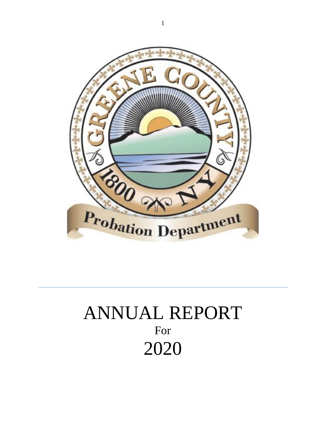

# ANNUAL REPORT For 2020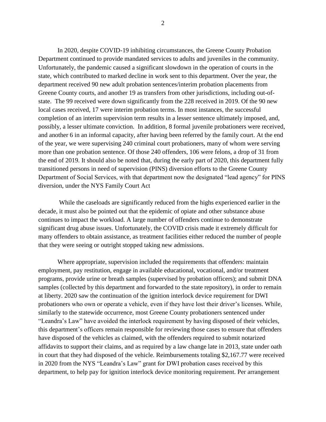In 2020, despite COVID-19 inhibiting circumstances, the Greene County Probation Department continued to provide mandated services to adults and juveniles in the community. Unfortunately, the pandemic caused a significant slowdown in the operation of courts in the state, which contributed to marked decline in work sent to this department. Over the year, the department received 90 new adult probation sentences/interim probation placements from Greene County courts, and another 19 as transfers from other jurisdictions, including out-ofstate. The 99 received were down significantly from the 228 received in 2019. Of the 90 new local cases received, 17 were interim probation terms. In most instances, the successful completion of an interim supervision term results in a lesser sentence ultimately imposed, and, possibly, a lesser ultimate conviction. In addition, 8 formal juvenile probationers were received, and another 6 in an informal capacity, after having been referred by the family court. At the end of the year, we were supervising 240 criminal court probationers, many of whom were serving more than one probation sentence. Of those 240 offenders, 106 were felons, a drop of 31 from the end of 2019. It should also be noted that, during the early part of 2020, this department fully transitioned persons in need of supervision (PINS) diversion efforts to the Greene County Department of Social Services, with that department now the designated "lead agency" for PINS diversion, under the NYS Family Court Act

While the caseloads are significantly reduced from the highs experienced earlier in the decade, it must also be pointed out that the epidemic of opiate and other substance abuse continues to impact the workload. A large number of offenders continue to demonstrate significant drug abuse issues. Unfortunately, the COVID crisis made it extremely difficult for many offenders to obtain assistance, as treatment facilities either reduced the number of people that they were seeing or outright stopped taking new admissions.

Where appropriate, supervision included the requirements that offenders: maintain employment, pay restitution, engage in available educational, vocational, and/or treatment programs, provide urine or breath samples (supervised by probation officers); and submit DNA samples (collected by this department and forwarded to the state repository), in order to remain at liberty. 2020 saw the continuation of the ignition interlock device requirement for DWI probationers who own or operate a vehicle, even if they have lost their driver's licenses. While, similarly to the statewide occurrence, most Greene County probationers sentenced under "Leandra's Law" have avoided the interlock requirement by having disposed of their vehicles, this department's officers remain responsible for reviewing those cases to ensure that offenders have disposed of the vehicles as claimed, with the offenders required to submit notarized affidavits to support their claims, and as required by a law change late in 2013, state under oath in court that they had disposed of the vehicle. Reimbursements totaling \$2,167.77 were received in 2020 from the NYS "Leandra's Law" grant for DWI probation cases received by this department, to help pay for ignition interlock device monitoring requirement. Per arrangement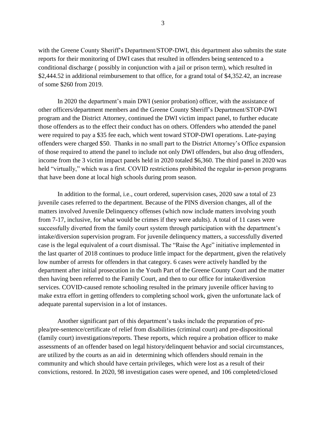with the Greene County Sheriff's Department/STOP-DWI, this department also submits the state reports for their monitoring of DWI cases that resulted in offenders being sentenced to a conditional discharge ( possibly in conjunction with a jail or prison term), which resulted in \$2,444.52 in additional reimbursement to that office, for a grand total of \$4,352.42, an increase of some \$260 from 2019.

In 2020 the department's main DWI (senior probation) officer, with the assistance of other officers/department members and the Greene County Sheriff's Department/STOP-DWI program and the District Attorney, continued the DWI victim impact panel, to further educate those offenders as to the effect their conduct has on others. Offenders who attended the panel were required to pay a \$35 fee each, which went toward STOP-DWI operations. Late-paying offenders were charged \$50. Thanks in no small part to the District Attorney's Office expansion of those required to attend the panel to include not only DWI offenders, but also drug offenders, income from the 3 victim impact panels held in 2020 totaled \$6,360. The third panel in 2020 was held "virtually," which was a first. COVID restrictions prohibited the regular in-person programs that have been done at local high schools during prom season.

In addition to the formal, i.e., court ordered, supervision cases, 2020 saw a total of 23 juvenile cases referred to the department. Because of the PINS diversion changes, all of the matters involved Juvenile Delinquency offenses (which now include matters involving youth from 7-17, inclusive, for what would be crimes if they were adults). A total of 11 cases were successfully diverted from the family court system through participation with the department's intake/diversion supervision program. For juvenile delinquency matters, a successfully diverted case is the legal equivalent of a court dismissal. The "Raise the Age" initiative implemented in the last quarter of 2018 continues to produce little impact for the department, given the relatively low number of arrests for offenders in that category. 6 cases were actively handled by the department after initial prosecution in the Youth Part of the Greene County Court and the matter then having been referred to the Family Court, and then to our office for intake/diversion services. COVID-caused remote schooling resulted in the primary juvenile officer having to make extra effort in getting offenders to completing school work, given the unfortunate lack of adequate parental supervision in a lot of instances.

Another significant part of this department's tasks include the preparation of preplea/pre-sentence/certificate of relief from disabilities (criminal court) and pre-dispositional (family court) investigations/reports. These reports, which require a probation officer to make assessments of an offender based on legal history/delinquent behavior and social circumstances, are utilized by the courts as an aid in determining which offenders should remain in the community and which should have certain privileges, which were lost as a result of their convictions, restored. In 2020, 98 investigation cases were opened, and 106 completed/closed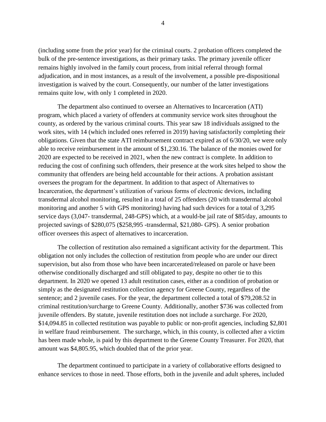(including some from the prior year) for the criminal courts. 2 probation officers completed the bulk of the pre-sentence investigations, as their primary tasks. The primary juvenile officer remains highly involved in the family court process, from initial referral through formal adjudication, and in most instances, as a result of the involvement, a possible pre-dispositional investigation is waived by the court. Consequently, our number of the latter investigations remains quite low, with only 1 completed in 2020.

The department also continued to oversee an Alternatives to Incarceration (ATI) program, which placed a variety of offenders at community service work sites throughout the county, as ordered by the various criminal courts. This year saw 18 individuals assigned to the work sites, with 14 (which included ones referred in 2019) having satisfactorily completing their obligations. Given that the state ATI reimbursement contract expired as of 6/30/20, we were only able to receive reimbursement in the amount of \$1,230.16. The balance of the monies owed for 2020 are expected to be received in 2021, when the new contract is complete. In addition to reducing the cost of confining such offenders, their presence at the work sites helped to show the community that offenders are being held accountable for their actions. A probation assistant oversees the program for the department. In addition to that aspect of Alternatives to Incarceration, the department's utilization of various forms of electronic devices, including transdermal alcohol monitoring, resulted in a total of 25 offenders (20 with transdermal alcohol monitoring and another 5 with GPS monitoring) having had such devices for a total of 3,295 service days (3,047- transdermal, 248-GPS) which, at a would-be jail rate of \$85/day, amounts to projected savings of \$280,075 (\$258,995 -transdermal, \$21,080- GPS). A senior probation officer oversees this aspect of alternatives to incarceration.

The collection of restitution also remained a significant activity for the department. This obligation not only includes the collection of restitution from people who are under our direct supervision, but also from those who have been incarcerated/released on parole or have been otherwise conditionally discharged and still obligated to pay, despite no other tie to this department. In 2020 we opened 13 adult restitution cases, either as a condition of probation or simply as the designated restitution collection agency for Greene County, regardless of the sentence; and 2 juvenile cases. For the year, the department collected a total of \$79,208.52 in criminal restitution/surcharge to Greene County. Additionally, another \$736 was collected from juvenile offenders. By statute, juvenile restitution does not include a surcharge. For 2020, \$14,094.85 in collected restitution was payable to public or non-profit agencies, including \$2,801 in welfare fraud reimbursement. The surcharge, which, in this county, is collected after a victim has been made whole, is paid by this department to the Greene County Treasurer. For 2020, that amount was \$4,805.95, which doubled that of the prior year.

The department continued to participate in a variety of collaborative efforts designed to enhance services to those in need. Those efforts, both in the juvenile and adult spheres, included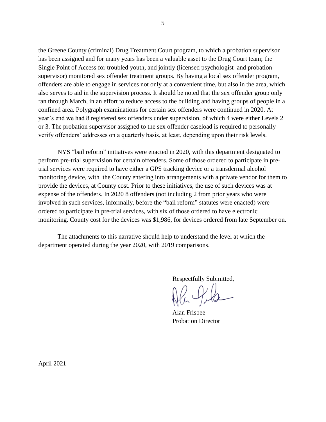the Greene County (criminal) Drug Treatment Court program, to which a probation supervisor has been assigned and for many years has been a valuable asset to the Drug Court team; the Single Point of Access for troubled youth, and jointly (licensed psychologist and probation supervisor) monitored sex offender treatment groups. By having a local sex offender program, offenders are able to engage in services not only at a convenient time, but also in the area, which also serves to aid in the supervision process. It should be noted that the sex offender group only ran through March, in an effort to reduce access to the building and having groups of people in a confined area. Polygraph examinations for certain sex offenders were continued in 2020. At year's end we had 8 registered sex offenders under supervision, of which 4 were either Levels 2 or 3. The probation supervisor assigned to the sex offender caseload is required to personally verify offenders' addresses on a quarterly basis, at least, depending upon their risk levels.

NYS "bail reform" initiatives were enacted in 2020, with this department designated to perform pre-trial supervision for certain offenders. Some of those ordered to participate in pretrial services were required to have either a GPS tracking device or a transdermal alcohol monitoring device, with the County entering into arrangements with a private vendor for them to provide the devices, at County cost. Prior to these initiatives, the use of such devices was at expense of the offenders. In 2020 8 offenders (not including 2 from prior years who were involved in such services, informally, before the "bail reform" statutes were enacted) were ordered to participate in pre-trial services, with six of those ordered to have electronic monitoring. County cost for the devices was \$1,986, for devices ordered from late September on.

The attachments to this narrative should help to understand the level at which the department operated during the year 2020, with 2019 comparisons.

Respectfully Submitted,

Alan Frisbee Probation Director

April 2021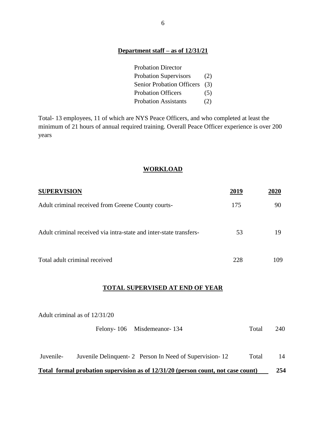# **Department staff – as of 12/31/21**

| <b>Probation Director</b>     |     |
|-------------------------------|-----|
| <b>Probation Supervisors</b>  | (2) |
| Senior Probation Officers (3) |     |
| <b>Probation Officers</b>     | (5) |
| <b>Probation Assistants</b>   | (2) |

Total- 13 employees, 11 of which are NYS Peace Officers, and who completed at least the minimum of 21 hours of annual required training. Overall Peace Officer experience is over 200 years

# **WORKLOAD**

| <b>SUPERVISION</b>                                                 | 2019 | <b>2020</b> |
|--------------------------------------------------------------------|------|-------------|
| Adult criminal received from Greene County courts-                 | 175  | 90          |
| Adult criminal received via intra-state and inter-state transfers- | 53   | 19          |
| Total adult criminal received                                      | 228  | 109         |

# **TOTAL SUPERVISED AT END OF YEAR**

|           | Adult criminal as of 12/31/20                                                    |       |     |
|-----------|----------------------------------------------------------------------------------|-------|-----|
|           | Felony-106 Misdemeanor-134                                                       | Total | 240 |
| Juvenile- | Juvenile Delinquent-2 Person In Need of Supervision-12                           | Total | 14  |
|           | Total formal probation supervision as of 12/31/20 (person count, not case count) |       | 254 |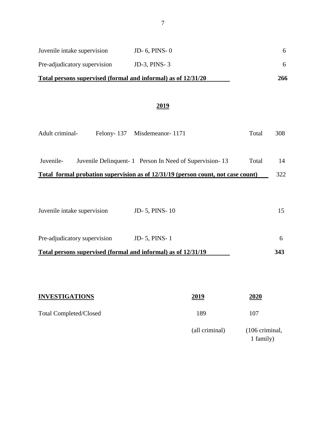| Total persons supervised (formal and informal) as of 12/31/20 |                     | 266 |
|---------------------------------------------------------------|---------------------|-----|
| Pre-adjudicatory supervision                                  | JD-3, PINS- $3$     |     |
| Juvenile intake supervision                                   | JD $-6$ , PINS $-0$ | 6.  |

# **2019**

| Felony-137 Misdemeanor-1171                                   | Total | 308                                                                              |
|---------------------------------------------------------------|-------|----------------------------------------------------------------------------------|
|                                                               |       |                                                                                  |
| Juvenile Delinquent - 1 Person In Need of Supervision - 13    | Total | 14                                                                               |
|                                                               |       | 322                                                                              |
|                                                               |       |                                                                                  |
|                                                               |       |                                                                                  |
| <b>JD-5, PINS-10</b>                                          |       | 15                                                                               |
|                                                               |       |                                                                                  |
| <b>JD-5, PINS-1</b>                                           |       | 6                                                                                |
| Total persons supervised (formal and informal) as of 12/31/19 |       | 343                                                                              |
|                                                               |       | Total formal probation supervision as of 12/31/19 (person count, not case count) |

| <b>INVESTIGATIONS</b>         | 2019           | 2020                                  |
|-------------------------------|----------------|---------------------------------------|
| <b>Total Completed/Closed</b> | 189            | 107                                   |
|                               | (all criminal) | $(106 \text{ criminal},$<br>1 family) |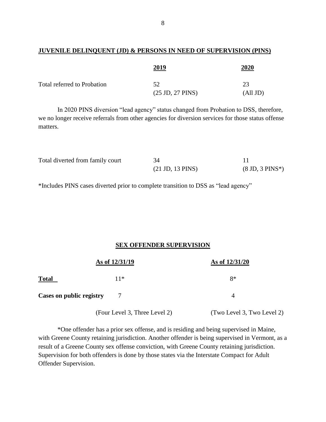## **JUVENILE DELINQUENT (JD) & PERSONS IN NEED OF SUPERVISION (PINS)**

|                             | 2019                               | 2020     |
|-----------------------------|------------------------------------|----------|
| Total referred to Probation | 52                                 | 23       |
|                             | $(25 \text{ JD}, 27 \text{ PINS})$ | (All JD) |

In 2020 PINS diversion "lead agency" status changed from Probation to DSS, therefore, we no longer receive referrals from other agencies for diversion services for those status offense matters.

| Total diverted from family court | 34                                 |                                   |
|----------------------------------|------------------------------------|-----------------------------------|
|                                  | $(21 \text{ JD}, 13 \text{ PINS})$ | $(8 \text{ JD}, 3 \text{ PINS*})$ |

\*Includes PINS cases diverted prior to complete transition to DSS as "lead agency"

# **SEX OFFENDER SUPERVISION**

|                          | As of 12/31/19 | As of 12/31/20 |
|--------------------------|----------------|----------------|
| <b>Total</b>             | $11*$          | 8*             |
| Cases on public registry | 7              |                |

(Four Level 3, Three Level 2) (Two Level 3, Two Level 2)

\*One offender has a prior sex offense, and is residing and being supervised in Maine, with Greene County retaining jurisdiction. Another offender is being supervised in Vermont, as a result of a Greene County sex offense conviction, with Greene County retaining jurisdiction. Supervision for both offenders is done by those states via the Interstate Compact for Adult Offender Supervision.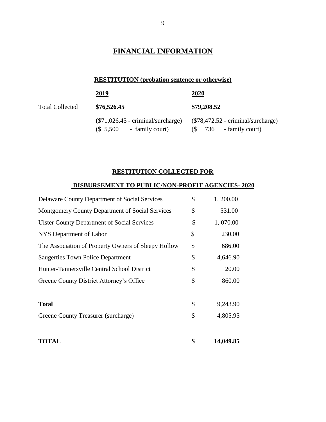# **FINANCIAL INFORMATION**

# **RESTITUTION (probation sentence or otherwise)**

|                        | <u>2019</u>                                                        | <u>2020</u>                                                         |
|------------------------|--------------------------------------------------------------------|---------------------------------------------------------------------|
| <b>Total Collected</b> | \$76,526.45                                                        | \$79,208.52                                                         |
|                        | $(\$71,026.45$ - criminal/surcharge)<br>$($ 5,500$ - family court) | $(\$78,472.52$ - criminal/surcharge)<br>$(S \t 736$ - family court) |

# **RESTITUTION COLLECTED FOR**

# **DISBURSEMENT TO PUBLIC/NON-PROFIT AGENCIES- 2020**

| <b>TOTAL</b>                                         | \$            | 14,049.85 |
|------------------------------------------------------|---------------|-----------|
|                                                      |               |           |
| Greene County Treasurer (surcharge)                  | \$            | 4,805.95  |
| <b>Total</b>                                         | \$            | 9,243.90  |
|                                                      |               |           |
| Greene County District Attorney's Office             | \$            | 860.00    |
| Hunter-Tannersville Central School District          | \$            | 20.00     |
| <b>Saugerties Town Police Department</b>             | \$            | 4,646.90  |
| The Association of Property Owners of Sleepy Hollow  | \$            | 686.00    |
| NYS Department of Labor                              | \$            | 230.00    |
| <b>Ulster County Department of Social Services</b>   | \$            | 1,070.00  |
| Montgomery County Department of Social Services      | \$            | 531.00    |
| <b>Delaware County Department of Social Services</b> | $\mathcal{S}$ | 1,200.00  |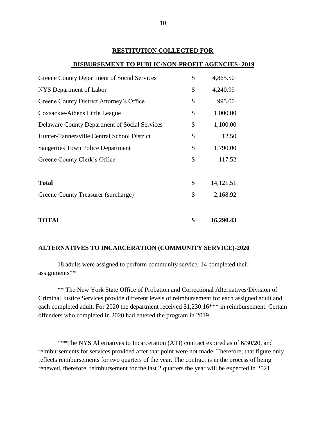#### **RESTITUTION COLLECTED FOR**

#### **DISBURSEMENT TO PUBLIC/NON-PROFIT AGENCIES- 2019**

| <b>TOTAL</b>                                         | \$<br>16,290.43 |
|------------------------------------------------------|-----------------|
|                                                      |                 |
| Greene County Treasurer (surcharge)                  | \$<br>2,168.92  |
| <b>Total</b>                                         | \$<br>14,121.51 |
|                                                      |                 |
| Greene County Clerk's Office                         | \$<br>117.52    |
| <b>Saugerties Town Police Department</b>             | \$<br>1,790.00  |
| Hunter-Tannersville Central School District          | \$<br>12.50     |
| <b>Delaware County Department of Social Services</b> | \$<br>1,100.00  |
| Coxsackie-Athens Little League                       | \$<br>1,000.00  |
| Greene County District Attorney's Office             | \$<br>995.00    |
| NYS Department of Labor                              | \$<br>4,240.99  |
| <b>Greene County Department of Social Services</b>   | \$<br>4,865.50  |
|                                                      |                 |

#### **ALTERNATIVES TO INCARCERATION (COMMUNITY SERVICE)-2020**

18 adults were assigned to perform community service, 14 completed their assignments\*\*

\*\* The New York State Office of Probation and Correctional Alternatives/Division of Criminal Justice Services provide different levels of reimbursement for each assigned adult and each completed adult. For 2020 the department received \$1,230.16\*\*\* in reimbursement. Certain offenders who completed in 2020 had entered the program in 2019.

\*\*\*The NYS Alternatives to Incarceration (ATI) contract expired as of 6/30/20, and reimbursements for services provided after that point were not made. Therefore, that figure only reflects reimbursements for two quarters of the year. The contract is in the process of being renewed, therefore, reimbursement for the last 2 quarters the year will be expected in 2021.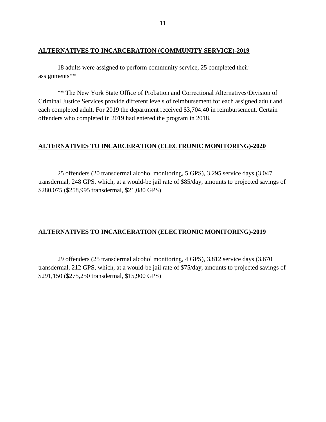## **ALTERNATIVES TO INCARCERATION (COMMUNITY SERVICE)-2019**

18 adults were assigned to perform community service, 25 completed their assignments\*\*

\*\* The New York State Office of Probation and Correctional Alternatives/Division of Criminal Justice Services provide different levels of reimbursement for each assigned adult and each completed adult. For 2019 the department received \$3,704.40 in reimbursement. Certain offenders who completed in 2019 had entered the program in 2018.

# **ALTERNATIVES TO INCARCERATION (ELECTRONIC MONITORING)-2020**

25 offenders (20 transdermal alcohol monitoring, 5 GPS), 3,295 service days (3,047 transdermal, 248 GPS, which, at a would-be jail rate of \$85/day, amounts to projected savings of \$280,075 (\$258,995 transdermal, \$21,080 GPS)

# **ALTERNATIVES TO INCARCERATION (ELECTRONIC MONITORING)-2019**

29 offenders (25 transdermal alcohol monitoring, 4 GPS), 3,812 service days (3,670 transdermal, 212 GPS, which, at a would-be jail rate of \$75/day, amounts to projected savings of \$291,150 (\$275,250 transdermal, \$15,900 GPS)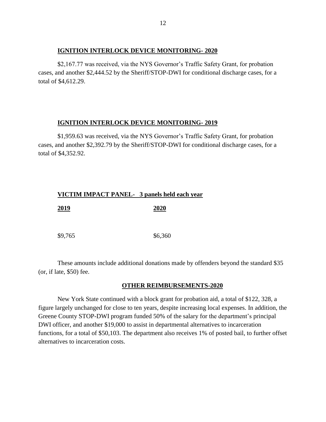## **IGNITION INTERLOCK DEVICE MONITORING- 2020**

\$2,167.77 was received, via the NYS Governor's Traffic Safety Grant, for probation cases, and another \$2,444.52 by the Sheriff/STOP-DWI for conditional discharge cases, for a total of \$4,612.29.

## **IGNITION INTERLOCK DEVICE MONITORING- 2019**

\$1,959.63 was received, via the NYS Governor's Traffic Safety Grant, for probation cases, and another \$2,392.79 by the Sheriff/STOP-DWI for conditional discharge cases, for a total of \$4,352.92.

|         | VICTIM IMPACT PANEL- 3 panels held each year |
|---------|----------------------------------------------|
| 2019    | 2020                                         |
| \$9,765 | \$6,360                                      |

These amounts include additional donations made by offenders beyond the standard \$35 (or, if late, \$50) fee.

# **OTHER REIMBURSEMENTS-2020**

New York State continued with a block grant for probation aid, a total of \$122, 328, a figure largely unchanged for close to ten years, despite increasing local expenses. In addition, the Greene County STOP-DWI program funded 50% of the salary for the department's principal DWI officer, and another \$19,000 to assist in departmental alternatives to incarceration functions, for a total of \$50,103. The department also receives 1% of posted bail, to further offset alternatives to incarceration costs.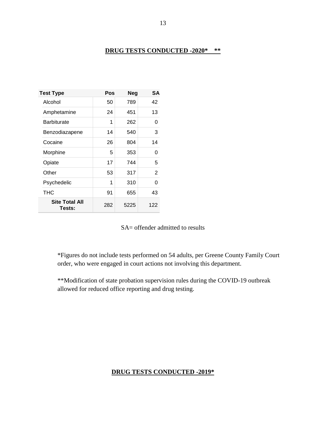# **DRUG TESTS CONDUCTED -2020\* \*\***

| <b>Test Type</b>                | Pos | <b>Neg</b> | SА  |
|---------------------------------|-----|------------|-----|
| Alcohol                         | 50  | 789        | 42  |
| Amphetamine                     | 24  | 451        | 13  |
| <b>Barbiturate</b>              | 1   | 262        | 0   |
| Benzodiazapene                  | 14  | 540        | 3   |
| Cocaine                         | 26  | 804        | 14  |
| Morphine                        | 5   | 353        | 0   |
| Opiate                          | 17  | 744        | 5   |
| Other                           | 53  | 317        | 2   |
| Psychedelic                     | 1   | 310        | O   |
| THC                             | 91  | 655        | 43  |
| <b>Site Total All</b><br>Tests: | 282 | 5225       | 122 |

SA= offender admitted to results

\*Figures do not include tests performed on 54 adults, per Greene County Family Court order, who were engaged in court actions not involving this department.

\*\*Modification of state probation supervision rules during the COVID-19 outbreak allowed for reduced office reporting and drug testing.

# **DRUG TESTS CONDUCTED -2019\***